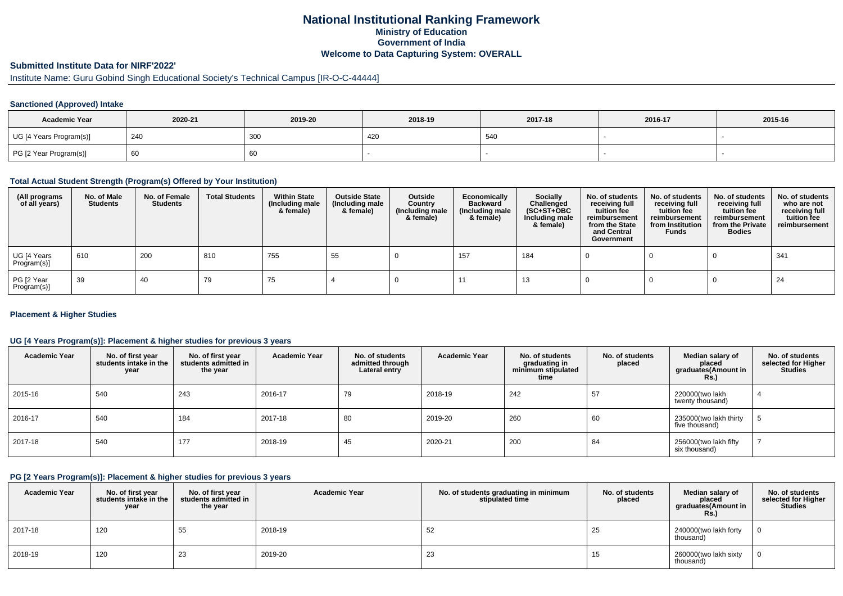## **National Institutional Ranking FrameworkMinistry of Education Government of IndiaWelcome to Data Capturing System: OVERALL**

# **Submitted Institute Data for NIRF'2022'**

# Institute Name: Guru Gobind Singh Educational Society's Technical Campus [IR-O-C-44444]

#### **Sanctioned (Approved) Intake**

| <b>Academic Year</b>    | 2020-21 | 2019-20 | 2018-19 | 2017-18 | 2016-17 | 2015-16 |
|-------------------------|---------|---------|---------|---------|---------|---------|
| UG [4 Years Program(s)] | 240     | 300     | 420     | 540     |         |         |
| PG [2 Year Program(s)]  | - 60    | 60      |         |         |         |         |

### **Total Actual Student Strength (Program(s) Offered by Your Institution)**

| (All programs<br>of all years) | No. of Male<br><b>Students</b> | No. of Female<br>Students | <b>Total Students</b> | <b>Within State</b><br>(Including male<br>& female) | <b>Outside State</b><br>(Including male<br>& female) | Outside<br>Country<br>(Including male<br>& female) | Economically<br><b>Backward</b><br>(Including male<br>& female) | <b>Socially</b><br>Challenged<br>$(SC+ST+OBC)$<br>Including male<br>& female) | No. of students<br>receiving full<br>tuition fee<br>reimbursement<br>from the State<br>and Central<br>Government | No. of students<br>receiving full<br>tuition fee<br>reimbursement<br>from Institution<br><b>Funds</b> | No. of students<br>receiving full<br>tuition fee<br>reimbursement<br>from the Private<br><b>Bodies</b> | No. of students<br>who are not<br>receiving full<br>tuition fee<br>reimbursement |
|--------------------------------|--------------------------------|---------------------------|-----------------------|-----------------------------------------------------|------------------------------------------------------|----------------------------------------------------|-----------------------------------------------------------------|-------------------------------------------------------------------------------|------------------------------------------------------------------------------------------------------------------|-------------------------------------------------------------------------------------------------------|--------------------------------------------------------------------------------------------------------|----------------------------------------------------------------------------------|
| UG [4 Years<br>Program(s)]     | 610                            | 200                       | 810                   | 755                                                 | 55                                                   |                                                    | 157                                                             | 184                                                                           |                                                                                                                  |                                                                                                       |                                                                                                        | 341                                                                              |
| PG [2 Year<br>Program(s)]      | 39                             | 40                        | 79                    | 75                                                  |                                                      |                                                    |                                                                 | 13                                                                            |                                                                                                                  |                                                                                                       |                                                                                                        | -24                                                                              |

#### **Placement & Higher Studies**

#### **UG [4 Years Program(s)]: Placement & higher studies for previous 3 years**

| <b>Academic Year</b> | No. of first year<br>students intake in the<br>year | No. of first vear<br>students admitted in<br>the year | <b>Academic Year</b> | No. of students<br>admitted through<br>Lateral entry | <b>Academic Year</b> | No. of students<br>graduating in<br>minimum stipulated<br>time | No. of students<br>placed | Median salary of<br>placed<br>graduates(Amount in<br><b>Rs.)</b> | No. of students<br>selected for Higher<br><b>Studies</b> |
|----------------------|-----------------------------------------------------|-------------------------------------------------------|----------------------|------------------------------------------------------|----------------------|----------------------------------------------------------------|---------------------------|------------------------------------------------------------------|----------------------------------------------------------|
| 2015-16              | 540                                                 | 243                                                   | 2016-17              | 79                                                   | 2018-19              | 242                                                            | 57                        | 220000(two lakh<br>twenty thousand)                              |                                                          |
| 2016-17              | 540                                                 | 184                                                   | 2017-18              | 80                                                   | 2019-20              | 260                                                            | 60                        | 235000(two lakh thirty<br>five thousand)                         |                                                          |
| 2017-18              | 540                                                 | 177                                                   | 2018-19              | 45                                                   | 2020-21              | 200                                                            | 84                        | 256000(two lakh fifty<br>six thousand)                           |                                                          |

#### **PG [2 Years Program(s)]: Placement & higher studies for previous 3 years**

| <b>Academic Year</b> | No. of first year<br>students intake in the<br>year | No. of first vear<br>students admitted in<br>the year | <b>Academic Year</b> | No. of students graduating in minimum<br>stipulated time | No. of students<br>placed | Median salary of<br>placed<br>graduates(Amount in<br><b>Rs.)</b> | No. of students<br>selected for Higher<br><b>Studies</b> |
|----------------------|-----------------------------------------------------|-------------------------------------------------------|----------------------|----------------------------------------------------------|---------------------------|------------------------------------------------------------------|----------------------------------------------------------|
| 2017-18              | 120                                                 | 55                                                    | 2018-19              | 52                                                       | 25                        | 240000(two lakh forty<br>thousand)                               | $\Omega$                                                 |
| 2018-19              | 120                                                 | 23                                                    | 2019-20              | 23                                                       | 15                        | 260000(two lakh sixty<br>thousand)                               |                                                          |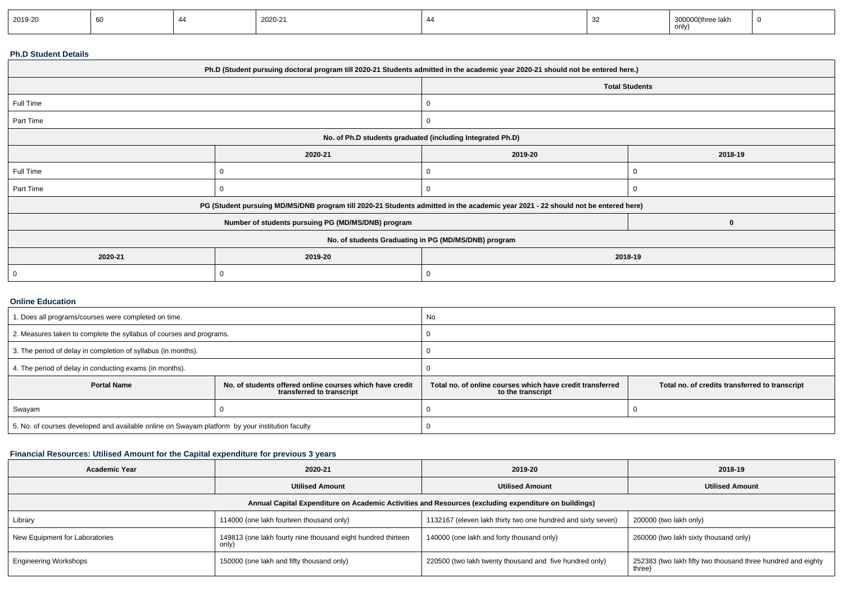| 2019-20<br>2020-21<br>300000(three lakh<br>only) |  |  |  |  |  |  |  |  |
|--------------------------------------------------|--|--|--|--|--|--|--|--|
|--------------------------------------------------|--|--|--|--|--|--|--|--|

### **Ph.D Student Details**

| Ph.D (Student pursuing doctoral program till 2020-21 Students admitted in the academic year 2020-21 should not be entered here.) |                                                                                                                                  |                    |                       |  |  |  |
|----------------------------------------------------------------------------------------------------------------------------------|----------------------------------------------------------------------------------------------------------------------------------|--------------------|-----------------------|--|--|--|
|                                                                                                                                  |                                                                                                                                  |                    | <b>Total Students</b> |  |  |  |
| Full Time                                                                                                                        |                                                                                                                                  | 0                  |                       |  |  |  |
| Part Time                                                                                                                        |                                                                                                                                  | 0                  |                       |  |  |  |
| No. of Ph.D students graduated (including Integrated Ph.D)                                                                       |                                                                                                                                  |                    |                       |  |  |  |
|                                                                                                                                  | 2020-21                                                                                                                          | 2019-20<br>2018-19 |                       |  |  |  |
| Full Time                                                                                                                        |                                                                                                                                  |                    |                       |  |  |  |
| Part Time                                                                                                                        |                                                                                                                                  | 0                  |                       |  |  |  |
|                                                                                                                                  | PG (Student pursuing MD/MS/DNB program till 2020-21 Students admitted in the academic year 2021 - 22 should not be entered here) |                    |                       |  |  |  |
|                                                                                                                                  | Number of students pursuing PG (MD/MS/DNB) program                                                                               |                    |                       |  |  |  |
| No. of students Graduating in PG (MD/MS/DNB) program                                                                             |                                                                                                                                  |                    |                       |  |  |  |
| 2020-21                                                                                                                          | 2019-20<br>2018-19                                                                                                               |                    |                       |  |  |  |
|                                                                                                                                  |                                                                                                                                  | 0                  |                       |  |  |  |

#### **Online Education**

| 1. Does all programs/courses were completed on time.                                                        |  | <b>No</b>                                                                      |                                                |  |  |
|-------------------------------------------------------------------------------------------------------------|--|--------------------------------------------------------------------------------|------------------------------------------------|--|--|
| 2. Measures taken to complete the syllabus of courses and programs.                                         |  |                                                                                |                                                |  |  |
| 3. The period of delay in completion of syllabus (in months).                                               |  |                                                                                |                                                |  |  |
| 4. The period of delay in conducting exams (in months).                                                     |  |                                                                                |                                                |  |  |
| <b>Portal Name</b><br>No. of students offered online courses which have credit<br>transferred to transcript |  | Total no, of online courses which have credit transferred<br>to the transcript | Total no. of credits transferred to transcript |  |  |
| Swayam                                                                                                      |  |                                                                                |                                                |  |  |
| 5. No. of courses developed and available online on Swayam platform by your institution faculty             |  |                                                                                |                                                |  |  |

### **Financial Resources: Utilised Amount for the Capital expenditure for previous 3 years**

| <b>Academic Year</b>                                                                                 | 2020-21                                                               | 2019-20                                                      | 2018-19                                                                |  |  |  |  |  |
|------------------------------------------------------------------------------------------------------|-----------------------------------------------------------------------|--------------------------------------------------------------|------------------------------------------------------------------------|--|--|--|--|--|
|                                                                                                      | <b>Utilised Amount</b>                                                | <b>Utilised Amount</b>                                       | <b>Utilised Amount</b>                                                 |  |  |  |  |  |
| Annual Capital Expenditure on Academic Activities and Resources (excluding expenditure on buildings) |                                                                       |                                                              |                                                                        |  |  |  |  |  |
| Library                                                                                              | 114000 (one lakh fourteen thousand only)                              | 1132167 (eleven lakh thirty two one hundred and sixty seven) | 200000 (two lakh only)                                                 |  |  |  |  |  |
| New Equipment for Laboratories                                                                       | 149813 (one lakh fourty nine thousand eight hundred thirteen<br>only) | 140000 (one lakh and forty thousand only)                    | 260000 (two lakh sixty thousand only)                                  |  |  |  |  |  |
| <b>Engineering Workshops</b>                                                                         | 150000 (one lakh and fifty thousand only)                             | 220500 (two lakh twenty thousand and five hundred only)      | 252383 (two lakh fifty two thousand three hundred and eighty<br>three) |  |  |  |  |  |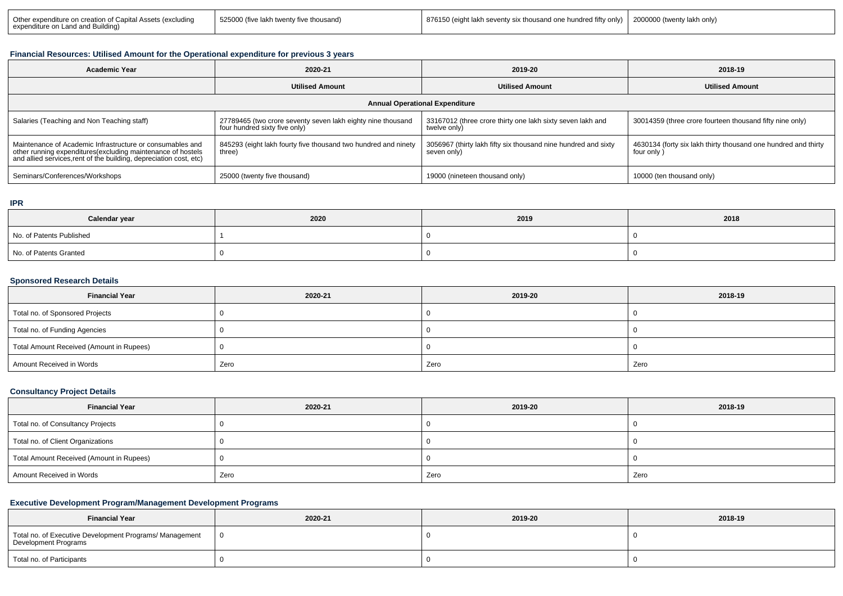| Other expenditure on creation of Capital Assets (excluding<br>expenditure on Land and Building) | 525000 (five lakh twenty five thousand) | 876150 (eight lakh seventy six thousand one hundred fifty only) 2000000 (twenty lakh only) |  |
|-------------------------------------------------------------------------------------------------|-----------------------------------------|--------------------------------------------------------------------------------------------|--|
|                                                                                                 |                                         |                                                                                            |  |

#### **Financial Resources: Utilised Amount for the Operational expenditure for previous 3 years**

| 2020-21<br><b>Academic Year</b>                                                                                                                                                                 |                                                                                              | 2019-20                                                                       | 2018-19                                                                      |  |  |  |  |
|-------------------------------------------------------------------------------------------------------------------------------------------------------------------------------------------------|----------------------------------------------------------------------------------------------|-------------------------------------------------------------------------------|------------------------------------------------------------------------------|--|--|--|--|
|                                                                                                                                                                                                 | <b>Utilised Amount</b>                                                                       | <b>Utilised Amount</b>                                                        | <b>Utilised Amount</b>                                                       |  |  |  |  |
| <b>Annual Operational Expenditure</b>                                                                                                                                                           |                                                                                              |                                                                               |                                                                              |  |  |  |  |
| Salaries (Teaching and Non Teaching staff)                                                                                                                                                      | 27789465 (two crore seventy seven lakh eighty nine thousand<br>four hundred sixty five only) | 33167012 (three crore thirty one lakh sixty seven lakh and<br>twelve only)    | 30014359 (three crore fourteen thousand fifty nine only)                     |  |  |  |  |
| Maintenance of Academic Infrastructure or consumables and<br>other running expenditures (excluding maintenance of hostels<br>and allied services, rent of the building, depreciation cost, etc) | 845293 (eight lakh fourty five thousand two hundred and ninety<br>three)                     | 3056967 (thirty lakh fifty six thousand nine hundred and sixty<br>seven only) | 4630134 (forty six lakh thirty thousand one hundred and thirty<br>four only) |  |  |  |  |
| Seminars/Conferences/Workshops                                                                                                                                                                  | 25000 (twenty five thousand)                                                                 | 19000 (nineteen thousand only)                                                | 10000 (ten thousand only)                                                    |  |  |  |  |

#### **IPR**

| Calendar year            | 2020 | 2019 | 2018 |
|--------------------------|------|------|------|
| No. of Patents Published |      |      |      |
| No. of Patents Granted   |      |      |      |

# **Sponsored Research Details**

| <b>Financial Year</b>                    | 2020-21 | 2019-20 | 2018-19 |
|------------------------------------------|---------|---------|---------|
| Total no. of Sponsored Projects          |         |         |         |
| Total no. of Funding Agencies            |         |         |         |
| Total Amount Received (Amount in Rupees) |         |         |         |
| Amount Received in Words                 | Zero    | Zero    | Zero    |

### **Consultancy Project Details**

| <b>Financial Year</b>                    | 2020-21 | 2019-20 | 2018-19 |
|------------------------------------------|---------|---------|---------|
| Total no. of Consultancy Projects        |         |         |         |
| Total no. of Client Organizations        |         |         |         |
| Total Amount Received (Amount in Rupees) |         |         |         |
| Amount Received in Words                 | Zero    | Zero    | Zero    |

# **Executive Development Program/Management Development Programs**

| <b>Financial Year</b>                                                           | 2020-21 | 2019-20 | 2018-19 |
|---------------------------------------------------------------------------------|---------|---------|---------|
| Total no. of Executive Development Programs/ Management<br>Development Programs |         |         |         |
| Total no. of Participants                                                       |         |         |         |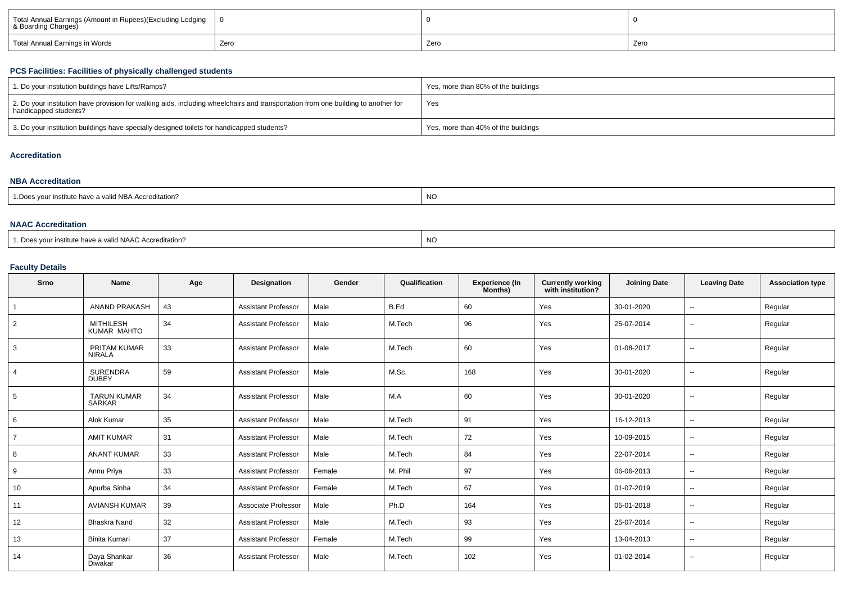| Total Annual Earnings (Amount in Rupees)(Excluding Lodging<br>& Boarding Charges) |      |      |      |  |
|-----------------------------------------------------------------------------------|------|------|------|--|
| Total Annual Earnings in Words                                                    | Zero | Zero | Zero |  |

### **PCS Facilities: Facilities of physically challenged students**

| 1. Do your institution buildings have Lifts/Ramps?                                                                                                         | Yes, more than 80% of the buildings |
|------------------------------------------------------------------------------------------------------------------------------------------------------------|-------------------------------------|
| 2. Do your institution have provision for walking aids, including wheelchairs and transportation from one building to another for<br>handicapped students? | Yes                                 |
| 3. Do your institution buildings have specially designed toilets for handicapped students?                                                                 | Yes, more than 40% of the buildings |

## **Accreditation**

#### **NBA Accreditation**

| 1.Does vour institute have a valid NBA Accreditation? | NO. |
|-------------------------------------------------------|-----|
|                                                       |     |

#### **NAAC Accreditation**

| 1. Does vour institute have a valid NAAC Accreditation? | <b>NC</b> |
|---------------------------------------------------------|-----------|
|---------------------------------------------------------|-----------|

### **Faculty Details**

| Srno           | <b>Name</b>                          | Age | <b>Designation</b>         | Gender | Qualification | <b>Experience (In</b><br>Months) | <b>Currently working</b><br>with institution? | <b>Joining Date</b> | <b>Leaving Date</b>      | <b>Association type</b> |
|----------------|--------------------------------------|-----|----------------------------|--------|---------------|----------------------------------|-----------------------------------------------|---------------------|--------------------------|-------------------------|
| $\overline{1}$ | <b>ANAND PRAKASH</b>                 | 43  | <b>Assistant Professor</b> | Male   | B.Ed          | 60                               | Yes                                           | 30-01-2020          | $\sim$                   | Regular                 |
| 2              | <b>MITHILESH</b><br>KUMAR MAHTO      | 34  | <b>Assistant Professor</b> | Male   | M.Tech        | 96                               | Yes                                           | 25-07-2014          | $\sim$                   | Regular                 |
| 3              | <b>PRITAM KUMAR</b><br><b>NIRALA</b> | 33  | <b>Assistant Professor</b> | Male   | M.Tech        | 60                               | Yes                                           | 01-08-2017          | $\sim$                   | Regular                 |
| $\overline{4}$ | <b>SURENDRA</b><br><b>DUBEY</b>      | 59  | <b>Assistant Professor</b> | Male   | M.Sc.         | 168                              | Yes                                           | 30-01-2020          | $\sim$                   | Regular                 |
| 5              | <b>TARUN KUMAR</b><br><b>SARKAR</b>  | 34  | <b>Assistant Professor</b> | Male   | M.A           | 60                               | Yes                                           | 30-01-2020          | $\sim$                   | Regular                 |
| 6              | Alok Kumar                           | 35  | <b>Assistant Professor</b> | Male   | M.Tech        | 91                               | Yes                                           | 16-12-2013          | $\sim$                   | Regular                 |
| 7              | <b>AMIT KUMAR</b>                    | 31  | <b>Assistant Professor</b> | Male   | M.Tech        | 72                               | Yes                                           | 10-09-2015          | $\sim$                   | Regular                 |
| 8              | <b>ANANT KUMAR</b>                   | 33  | <b>Assistant Professor</b> | Male   | M.Tech        | 84                               | Yes                                           | 22-07-2014          | $\overline{\phantom{a}}$ | Regular                 |
| 9              | Annu Priya                           | 33  | <b>Assistant Professor</b> | Female | M. Phil       | 97                               | Yes                                           | 06-06-2013          | $\sim$                   | Regular                 |
| 10             | Apurba Sinha                         | 34  | <b>Assistant Professor</b> | Female | M.Tech        | 67                               | Yes                                           | 01-07-2019          | $\sim$                   | Regular                 |
| 11             | <b>AVIANSH KUMAR</b>                 | 39  | Associate Professor        | Male   | Ph.D          | 164                              | Yes                                           | 05-01-2018          | $\overline{\phantom{a}}$ | Regular                 |
| 12             | <b>Bhaskra Nand</b>                  | 32  | <b>Assistant Professor</b> | Male   | M.Tech        | 93                               | Yes                                           | 25-07-2014          | $\sim$                   | Regular                 |
| 13             | Binita Kumari                        | 37  | <b>Assistant Professor</b> | Female | M.Tech        | 99                               | Yes                                           | 13-04-2013          | $\sim$                   | Regular                 |
| 14             | Daya Shankar<br>Diwakar              | 36  | <b>Assistant Professor</b> | Male   | M.Tech        | 102                              | Yes                                           | 01-02-2014          | $\sim$                   | Regular                 |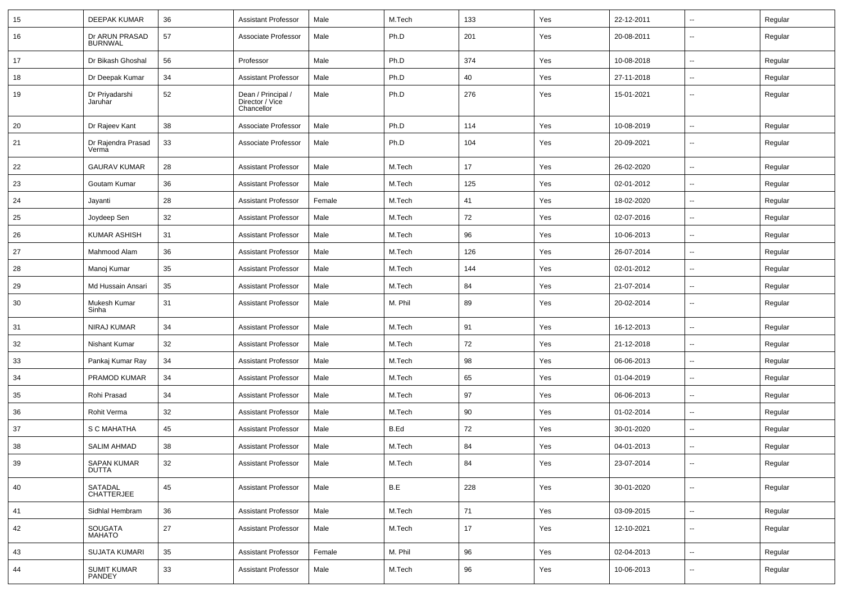| 15 | <b>DEEPAK KUMAR</b>                | 36 | <b>Assistant Professor</b>                          | Male   | M.Tech  | 133 | Yes | 22-12-2011 | $\sim$                   | Regular |
|----|------------------------------------|----|-----------------------------------------------------|--------|---------|-----|-----|------------|--------------------------|---------|
| 16 | Dr ARUN PRASAD<br><b>BURNWAL</b>   | 57 | Associate Professor                                 | Male   | Ph.D    | 201 | Yes | 20-08-2011 | $\sim$                   | Regular |
| 17 | Dr Bikash Ghoshal                  | 56 | Professor                                           | Male   | Ph.D    | 374 | Yes | 10-08-2018 | $\sim$                   | Regular |
| 18 | Dr Deepak Kumar                    | 34 | <b>Assistant Professor</b>                          | Male   | Ph.D    | 40  | Yes | 27-11-2018 | $\overline{\phantom{a}}$ | Regular |
| 19 | Dr Priyadarshi<br>Jaruhar          | 52 | Dean / Principal /<br>Director / Vice<br>Chancellor | Male   | Ph.D    | 276 | Yes | 15-01-2021 | $\overline{\phantom{a}}$ | Regular |
| 20 | Dr Rajeev Kant                     | 38 | Associate Professor                                 | Male   | Ph.D    | 114 | Yes | 10-08-2019 | $\overline{\phantom{a}}$ | Regular |
| 21 | Dr Rajendra Prasad<br>Verma        | 33 | Associate Professor                                 | Male   | Ph.D    | 104 | Yes | 20-09-2021 | $\overline{\phantom{a}}$ | Regular |
| 22 | <b>GAURAV KUMAR</b>                | 28 | <b>Assistant Professor</b>                          | Male   | M.Tech  | 17  | Yes | 26-02-2020 | $\overline{\phantom{a}}$ | Regular |
| 23 | Goutam Kumar                       | 36 | <b>Assistant Professor</b>                          | Male   | M.Tech  | 125 | Yes | 02-01-2012 | $\sim$                   | Regular |
| 24 | Jayanti                            | 28 | <b>Assistant Professor</b>                          | Female | M.Tech  | 41  | Yes | 18-02-2020 | $\overline{\phantom{a}}$ | Regular |
| 25 | Joydeep Sen                        | 32 | <b>Assistant Professor</b>                          | Male   | M.Tech  | 72  | Yes | 02-07-2016 | $\sim$                   | Regular |
| 26 | KUMAR ASHISH                       | 31 | <b>Assistant Professor</b>                          | Male   | M.Tech  | 96  | Yes | 10-06-2013 | $\sim$                   | Regular |
| 27 | Mahmood Alam                       | 36 | <b>Assistant Professor</b>                          | Male   | M.Tech  | 126 | Yes | 26-07-2014 | $\overline{\phantom{a}}$ | Regular |
| 28 | Manoj Kumar                        | 35 | <b>Assistant Professor</b>                          | Male   | M.Tech  | 144 | Yes | 02-01-2012 | --                       | Regular |
| 29 | Md Hussain Ansari                  | 35 | <b>Assistant Professor</b>                          | Male   | M.Tech  | 84  | Yes | 21-07-2014 | $\sim$                   | Regular |
| 30 | Mukesh Kumar<br>Sinha              | 31 | <b>Assistant Professor</b>                          | Male   | M. Phil | 89  | Yes | 20-02-2014 | $\overline{\phantom{a}}$ | Regular |
| 31 | NIRAJ KUMAR                        | 34 | <b>Assistant Professor</b>                          | Male   | M.Tech  | 91  | Yes | 16-12-2013 | $\overline{\phantom{a}}$ | Regular |
| 32 | Nishant Kumar                      | 32 | <b>Assistant Professor</b>                          | Male   | M.Tech  | 72  | Yes | 21-12-2018 | $\overline{\phantom{a}}$ | Regular |
| 33 | Pankaj Kumar Ray                   | 34 | <b>Assistant Professor</b>                          | Male   | M.Tech  | 98  | Yes | 06-06-2013 | $\sim$                   | Regular |
| 34 | PRAMOD KUMAR                       | 34 | <b>Assistant Professor</b>                          | Male   | M.Tech  | 65  | Yes | 01-04-2019 | $\overline{\phantom{a}}$ | Regular |
| 35 | Rohi Prasad                        | 34 | <b>Assistant Professor</b>                          | Male   | M.Tech  | 97  | Yes | 06-06-2013 | $\sim$                   | Regular |
| 36 | Rohit Verma                        | 32 | <b>Assistant Professor</b>                          | Male   | M.Tech  | 90  | Yes | 01-02-2014 | $\sim$                   | Regular |
| 37 | S C MAHATHA                        | 45 | <b>Assistant Professor</b>                          | Male   | B.Ed    | 72  | Yes | 30-01-2020 | $\overline{\phantom{a}}$ | Regular |
| 38 | <b>SALIM AHMAD</b>                 | 38 | <b>Assistant Professor</b>                          | Male   | M.Tech  | 84  | Yes | 04-01-2013 | $\overline{\phantom{a}}$ | Regular |
| 39 | <b>SAPAN KUMAR</b><br><b>DUTTA</b> | 32 | <b>Assistant Professor</b>                          | Male   | M.Tech  | 84  | Yes | 23-07-2014 | $\sim$                   | Regular |
| 40 | SATADAL<br><b>CHATTERJEE</b>       | 45 | <b>Assistant Professor</b>                          | Male   | B.E     | 228 | Yes | 30-01-2020 | $\sim$                   | Regular |
| 41 | Sidhlal Hembram                    | 36 | Assistant Professor                                 | Male   | M.Tech  | 71  | Yes | 03-09-2015 | $\sim$                   | Regular |
| 42 | SOUGATA<br>MAHATO                  | 27 | <b>Assistant Professor</b>                          | Male   | M.Tech  | 17  | Yes | 12-10-2021 | $\sim$                   | Regular |
| 43 | <b>SUJATA KUMARI</b>               | 35 | <b>Assistant Professor</b>                          | Female | M. Phil | 96  | Yes | 02-04-2013 | $\sim$                   | Regular |
| 44 | <b>SUMIT KUMAR</b><br>PANDEY       | 33 | <b>Assistant Professor</b>                          | Male   | M.Tech  | 96  | Yes | 10-06-2013 | --                       | Regular |